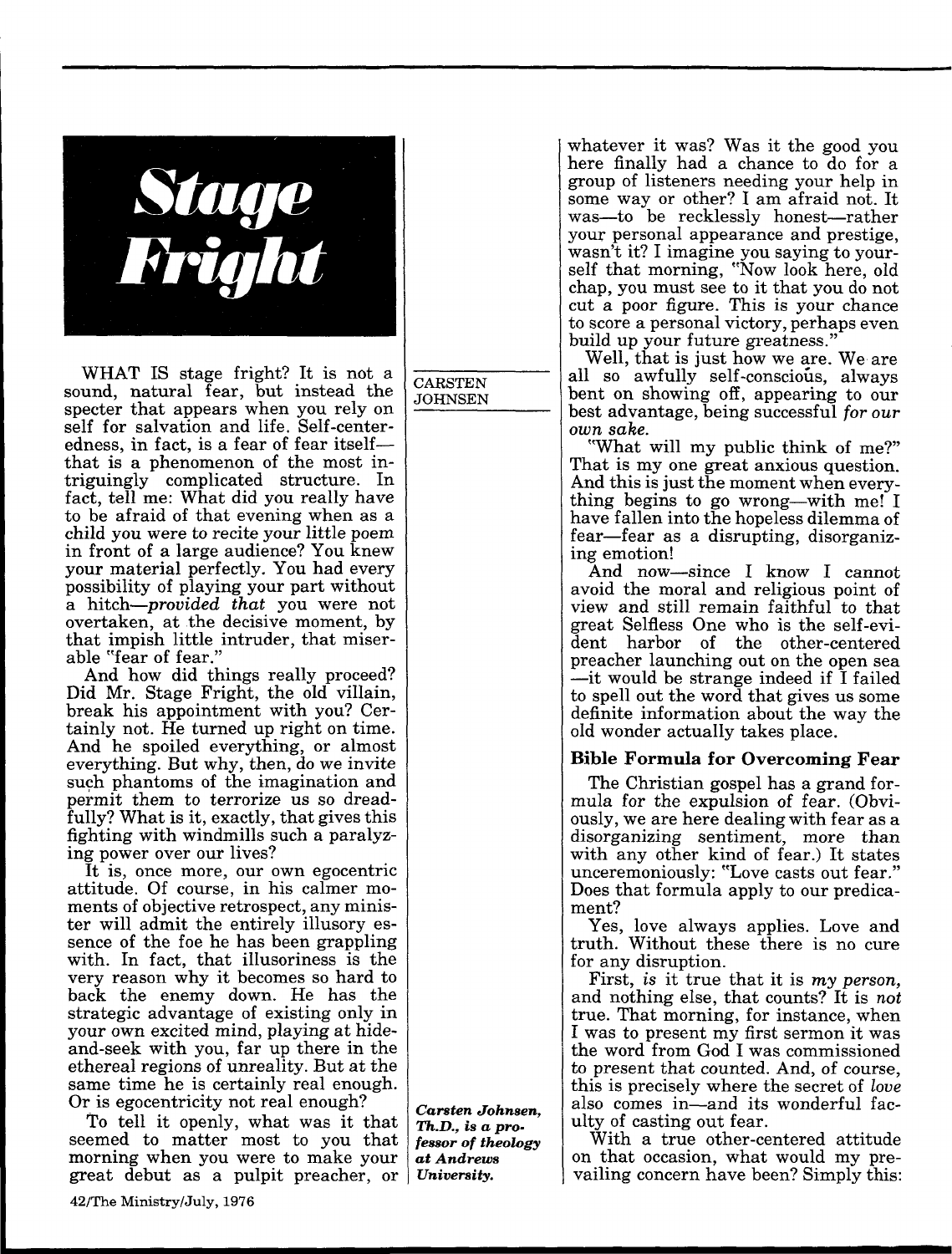

WHAT IS stage fright? It is not a sound, natural fear, but instead the specter that appears when you rely on self for salvation and life. Self-centeredness, in fact, is a fear of fear itself that is a phenomenon of the most intriguingly complicated structure. In fact, tell me: What did you really have to be afraid of that evening when as a child you were to recite your little poem in front of a large audience? You knew your material perfectly. You had every possibility of playing your part without a hitch—*provided that* you were not overtaken, at the decisive moment, by that impish little intruder, that miser able "fear of fear."

And how did things really proceed? Did Mr. Stage Fright, the old villain, break his appointment with you? Cer tainly not. He turned up right on time. And he spoiled everything, or almost everything. But why, then, do we invite such phantoms of the imagination and permit them to terrorize us so dread fully? What is it, exactly, that gives this fighting with windmills such a paralyz ing power over our lives?

It is, once more, our own egocentric attitude. Of course, in his calmer mo ments of objective retrospect, any minis ter will admit the entirely illusory es sence of the foe he has been grappling with. In fact, that illusoriness is the very reason why it becomes so hard to back the enemy down. He has the strategic advantage of existing only in your own excited mind, playing at hideand-seek with you, far up there in the ethereal regions of unreality. But at the same time he is certainly real enough. Or is egocentricity not real enough?

To tell it openly, what was it that seemed to matter most to you that morning when you were to make your great debut as a pulpit preacher, or *University.*

**CARSTEN** JOHNSEN whatever it was? Was it the good you here finally had a chance to do for a group of listeners needing your help in some way or other? I am afraid not. It was-to be recklessly honest-rather your personal appearance and prestige, wasn't it? I imagine you saying to your self that morning, "Now look here, old chap, you must see to it that you do not cut a poor figure. This is your chance to score a personal victory, perhaps even build up your future greatness.'

Well, that is just how we are. We are all so awfully self-conscious, always bent on showing off, appearing to our best advantage, being successful *for our çï å=ë~âÉK*

"What will my public think of me?" That is my one great anxious question. And this is just the moment when every thing begins to go wrong—with me! I have fallen into the hopeless dilemma of fear—fear as a disrupting, disorganizing emotion!

And now—since I know I cannot avoid the moral and religious point of view and still remain faithful to that great Selfless One who is the self-evi dent harbor of the other-centered preacher launching out on the open sea it would be strange indeed if I failed to spell out the word that gives us some definite information about the way the old wonder actually takes place.

## **Bible Formula for Overcoming Fear**

The Christian gospel has a grand for mula for the expulsion of fear. (Obvi ously, we are here dealing with fear as a disorganizing sentiment, more than with any other kind of fear.) It states unceremoniously: "Love casts out fear." Does that formula apply to our predica ment?

Yes, love always applies. Love and truth. Without these there is no cure for any disruption.

First, is it true that it is my person, and nothing else, that counts? It is not true. That morning, for instance, when I was to present my first sermon it was the word from God I was commissioned to present that counted. And, of course, this is precisely where the secret of *love* also comes in-and its wonderful faculty of casting out fear.

With a true other-centered attitude on that occasion, what would my pre vailing concern have been? Simply this:

*Carsten Johnsen, Th.D., is a pro fessor of theology at Andrews*